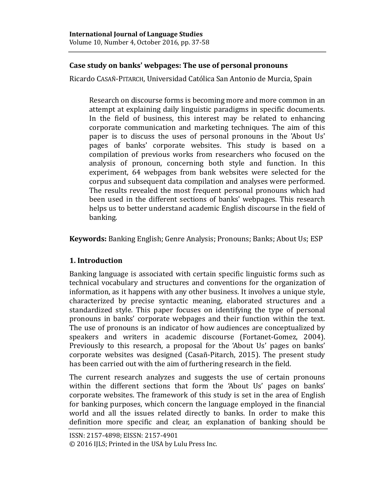# **Case study on banks' webpages: The use of personal pronouns**

Ricardo CASAÑ-PITARCH, Universidad Católica San Antonio de Murcia, Spain

Research on discourse forms is becoming more and more common in an attempt at explaining daily linguistic paradigms in specific documents. In the field of business, this interest may be related to enhancing corporate communication and marketing techniques. The aim of this paper is to discuss the uses of personal pronouns in the 'About Us' pages of banks' corporate websites. This study is based on a compilation of previous works from researchers who focused on the analysis of pronoun, concerning both style and function. In this experiment, 64 webpages from bank websites were selected for the corpus and subsequent data compilation and analyses were performed. The results revealed the most frequent personal pronouns which had been used in the different sections of banks' webpages. This research helps us to better understand academic English discourse in the field of banking.

**Keywords:** Banking English; Genre Analysis; Pronouns; Banks; About Us; ESP

# **1. Introduction**

Banking language is associated with certain specific linguistic forms such as technical vocabulary and structures and conventions for the organization of information, as it happens with any other business. It involves a unique style, characterized by precise syntactic meaning, elaborated structures and a standardized style. This paper focuses on identifying the type of personal pronouns in banks' corporate webpages and their function within the text. The use of pronouns is an indicator of how audiences are conceptualized by speakers and writers in academic discourse (Fortanet-Gomez, 2004). Previously to this research, a proposal for the 'About Us' pages on banks' corporate websites was designed (Casan -Pitarch, 2015). The present study has been carried out with the aim of furthering research in the field.

The current research analyzes and suggests the use of certain pronouns within the different sections that form the 'About Us' pages on banks' corporate websites. The framework of this study is set in the area of English for banking purposes, which concern the language employed in the financial world and all the issues related directly to banks. In order to make this definition more specific and clear, an explanation of banking should be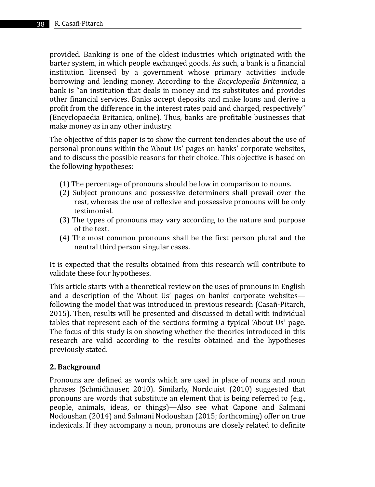provided. Banking is one of the oldest industries which originated with the barter system, in which people exchanged goods. As such, a bank is a financial institution licensed by a government whose primary activities include borrowing and lending money. According to the *Encyclopedia Britannica*, a bank is "an institution that deals in money and its substitutes and provides other financial services. Banks accept deposits and make loans and derive a profit from the difference in the interest rates paid and charged, respectively" (Encyclopaedia Britanica, online). Thus, banks are profitable businesses that make money as in any other industry.

The objective of this paper is to show the current tendencies about the use of personal pronouns within the 'About Us' pages on banks' corporate websites, and to discuss the possible reasons for their choice. This objective is based on the following hypotheses:

- (1) The percentage of pronouns should be low in comparison to nouns.
- (2) Subject pronouns and possessive determiners shall prevail over the rest, whereas the use of reflexive and possessive pronouns will be only testimonial.
- (3) The types of pronouns may vary according to the nature and purpose of the text.
- (4) The most common pronouns shall be the first person plural and the neutral third person singular cases.

It is expected that the results obtained from this research will contribute to validate these four hypotheses.

This article starts with a theoretical review on the uses of pronouns in English and a description of the 'About Us' pages on banks' corporate websites following the model that was introduced in previous research (Casañ-Pitarch, 2015). Then, results will be presented and discussed in detail with individual tables that represent each of the sections forming a typical 'About Us' page. The focus of this study is on showing whether the theories introduced in this research are valid according to the results obtained and the hypotheses previously stated.

## **2. Background**

Pronouns are defined as words which are used in place of nouns and noun phrases (Schmidhauser, 2010). Similarly, Nordquist (2010) suggested that pronouns are words that substitute an element that is being referred to (e.g., people, animals, ideas, or things)—Also see what Capone and Salmani Nodoushan (2014) and Salmani Nodoushan (2015; forthcoming) offer on true indexicals. If they accompany a noun, pronouns are closely related to definite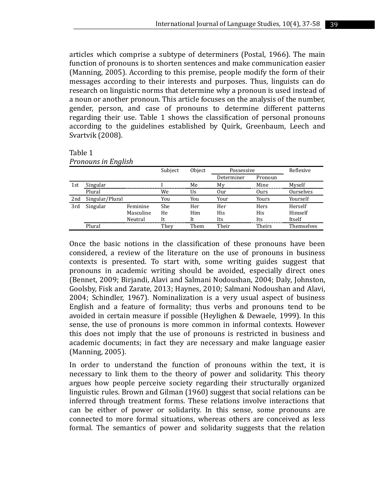articles which comprise a subtype of determiners (Postal, 1966). The main function of pronouns is to shorten sentences and make communication easier (Manning, 2005). According to this premise, people modify the form of their messages according to their interests and purposes. Thus, linguists can do research on linguistic norms that determine why a pronoun is used instead of a noun or another pronoun. This article focuses on the analysis of the number, gender, person, and case of pronouns to determine different patterns regarding their use. Table 1 shows the classification of personal pronouns according to the guidelines established by Quirk, Greenbaum, Leech and Svartvik (2008).

Table 1

|     |                 |           | Subject | Object | Possessive |         | Reflexive  |
|-----|-----------------|-----------|---------|--------|------------|---------|------------|
|     |                 |           |         |        | Determiner | Pronoun |            |
| 1st | Singular        |           |         | Me     | My         | Mine    | Myself     |
|     | Plural          |           | We      | Us     | Our        | Ours    | Ourselves  |
| 2nd | Singular/Plural |           | You     | You    | Your       | Yours   | Yourself   |
| 3rd | Singular        | Feminine  | She     | Her    | Her        | Hers    | Herself    |
|     |                 | Masculine | He      | Him    | His        | His     | Himself    |
|     |                 | Neutral   | It      | It     | Its        | Its     | Itself     |
|     | Plural          |           | They    | Them   | Their      | Theirs  | Themselves |

*Pronouns in English*

Once the basic notions in the classification of these pronouns have been considered, a review of the literature on the use of pronouns in business contexts is presented. To start with, some writing guides suggest that pronouns in academic writing should be avoided, especially direct ones (Bennet, 2009; Birjandi, Alavi and Salmani Nodoushan, 2004; Daly, Johnston, Goolsby, Fisk and Zarate, 2013; Haynes, 2010; Salmani Nodoushan and Alavi, 2004; Schindler, 1967). Nominalization is a very usual aspect of business English and a feature of formality; thus verbs and pronouns tend to be avoided in certain measure if possible (Heylighen & Dewaele, 1999). In this sense, the use of pronouns is more common in informal contexts. However this does not imply that the use of pronouns is restricted in business and academic documents; in fact they are necessary and make language easier (Manning, 2005).

In order to understand the function of pronouns within the text, it is necessary to link them to the theory of power and solidarity. This theory argues how people perceive society regarding their structurally organized linguistic rules. Brown and Gilman (1960) suggest that social relations can be inferred through treatment forms. These relations involve interactions that can be either of power or solidarity. In this sense, some pronouns are connected to more formal situations, whereas others are conceived as less formal. The semantics of power and solidarity suggests that the relation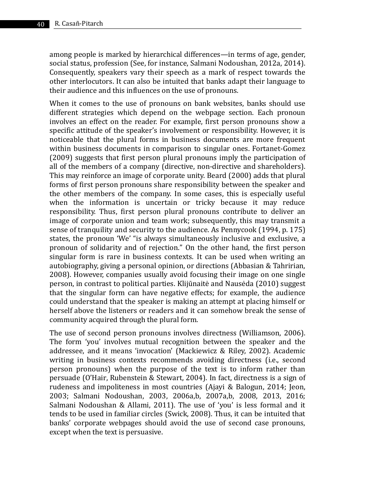among people is marked by hierarchical differences—in terms of age, gender, social status, profession (See, for instance, Salmani Nodoushan, 2012a, 2014). Consequently, speakers vary their speech as a mark of respect towards the other interlocutors. It can also be intuited that banks adapt their language to their audience and this influences on the use of pronouns.

When it comes to the use of pronouns on bank websites, banks should use different strategies which depend on the webpage section. Each pronoun involves an effect on the reader. For example, first person pronouns show a specific attitude of the speaker's involvement or responsibility. However, it is noticeable that the plural forms in business documents are more frequent within business documents in comparison to singular ones. Fortanet-Gomez (2009) suggests that first person plural pronouns imply the participation of all of the members of a company (directive, non-directive and shareholders). This may reinforce an image of corporate unity. Beard (2000) adds that plural forms of first person pronouns share responsibility between the speaker and the other members of the company. In some cases, this is especially useful when the information is uncertain or tricky because it may reduce responsibility. Thus, first person plural pronouns contribute to deliver an image of corporate union and team work; subsequently, this may transmit a sense of tranquility and security to the audience. As Pennycook (1994, p. 175) states, the pronoun 'We' "is always simultaneously inclusive and exclusive, a pronoun of solidarity and of rejection." On the other hand, the first person singular form is rare in business contexts. It can be used when writing an autobiography, giving a personal opinion, or directions (Abbasian & Tahririan, 2008). However, companies usually avoid focusing their image on one single person, in contrast to political parties. Klijūnaitė and Nausėda (2010) suggest that the singular form can have negative effects; for example, the audience could understand that the speaker is making an attempt at placing himself or herself above the listeners or readers and it can somehow break the sense of community acquired through the plural form.

The use of second person pronouns involves directness (Williamson, 2006). The form 'you' involves mutual recognition between the speaker and the addressee, and it means 'invocation' (Mackiewicz & Riley, 2002). Academic writing in business contexts recommends avoiding directness (i.e., second person pronouns) when the purpose of the text is to inform rather than persuade (O'Hair, Rubenstein & Stewart, 2004). In fact, directness is a sign of rudeness and impoliteness in most countries (Ajayi & Balogun, 2014; Jeon, 2003; Salmani Nodoushan, 2003, 2006a,b, 2007a,b, 2008, 2013, 2016; Salmani Nodoushan & Allami, 2011). The use of 'you' is less formal and it tends to be used in familiar circles (Swick, 2008). Thus, it can be intuited that banks' corporate webpages should avoid the use of second case pronouns, except when the text is persuasive.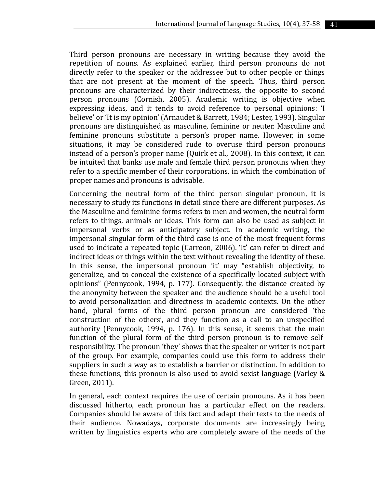Third person pronouns are necessary in writing because they avoid the repetition of nouns. As explained earlier, third person pronouns do not directly refer to the speaker or the addressee but to other people or things that are not present at the moment of the speech. Thus, third person pronouns are characterized by their indirectness, the opposite to second person pronouns (Cornish, 2005). Academic writing is objective when expressing ideas, and it tends to avoid reference to personal opinions: 'I believe' or 'It is my opinion' (Arnaudet & Barrett, 1984; Lester, 1993). Singular pronouns are distinguished as masculine, feminine or neuter. Masculine and feminine pronouns substitute a person's proper name. However, in some situations, it may be considered rude to overuse third person pronouns instead of a person's proper name (Quirk et al., 2008). In this context, it can be intuited that banks use male and female third person pronouns when they refer to a specific member of their corporations, in which the combination of proper names and pronouns is advisable.

Concerning the neutral form of the third person singular pronoun, it is necessary to study its functions in detail since there are different purposes. As the Masculine and feminine forms refers to men and women, the neutral form refers to things, animals or ideas. This form can also be used as subject in impersonal verbs or as anticipatory subject. In academic writing, the impersonal singular form of the third case is one of the most frequent forms used to indicate a repeated topic (Carreon, 2006). 'It' can refer to direct and indirect ideas or things within the text without revealing the identity of these. In this sense, the impersonal pronoun 'it' may "establish objectivity, to generalize, and to conceal the existence of a specifically located subject with opinions" (Pennycook, 1994, p. 177). Consequently, the distance created by the anonymity between the speaker and the audience should be a useful tool to avoid personalization and directness in academic contexts. On the other hand, plural forms of the third person pronoun are considered 'the construction of the others', and they function as a call to an unspecified authority (Pennycook, 1994, p. 176). In this sense, it seems that the main function of the plural form of the third person pronoun is to remove selfresponsibility. The pronoun 'they' shows that the speaker or writer is not part of the group. For example, companies could use this form to address their suppliers in such a way as to establish a barrier or distinction. In addition to these functions, this pronoun is also used to avoid sexist language (Varley & Green, 2011).

In general, each context requires the use of certain pronouns. As it has been discussed hitherto, each pronoun has a particular effect on the readers. Companies should be aware of this fact and adapt their texts to the needs of their audience. Nowadays, corporate documents are increasingly being written by linguistics experts who are completely aware of the needs of the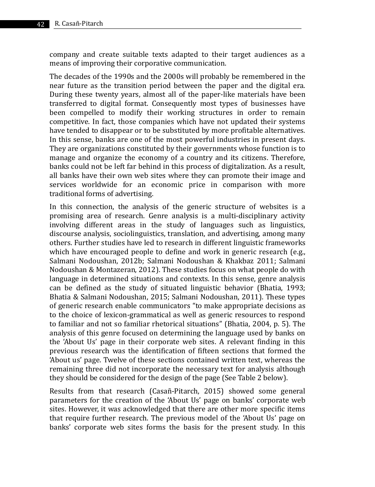company and create suitable texts adapted to their target audiences as a means of improving their corporative communication.

The decades of the 1990s and the 2000s will probably be remembered in the near future as the transition period between the paper and the digital era. During these twenty years, almost all of the paper-like materials have been transferred to digital format. Consequently most types of businesses have been compelled to modify their working structures in order to remain competitive. In fact, those companies which have not updated their systems have tended to disappear or to be substituted by more profitable alternatives. In this sense, banks are one of the most powerful industries in present days. They are organizations constituted by their governments whose function is to manage and organize the economy of a country and its citizens. Therefore, banks could not be left far behind in this process of digitalization. As a result, all banks have their own web sites where they can promote their image and services worldwide for an economic price in comparison with more traditional forms of advertising.

In this connection, the analysis of the generic structure of websites is a promising area of research. Genre analysis is a multi-disciplinary activity involving different areas in the study of languages such as linguistics, discourse analysis, sociolinguistics, translation, and advertising, among many others. Further studies have led to research in different linguistic frameworks which have encouraged people to define and work in generic research (e.g., Salmani Nodoushan, 2012b; Salmani Nodoushan & Khakbaz 2011; Salmani Nodoushan & Montazeran, 2012). These studies focus on what people do with language in determined situations and contexts. In this sense, genre analysis can be defined as the study of situated linguistic behavior (Bhatia, 1993; Bhatia & Salmani Nodoushan, 2015; Salmani Nodoushan, 2011). These types of generic research enable communicators "to make appropriate decisions as to the choice of lexicon-grammatical as well as generic resources to respond to familiar and not so familiar rhetorical situations" (Bhatia, 2004, p. 5). The analysis of this genre focused on determining the language used by banks on the 'About Us' page in their corporate web sites. A relevant finding in this previous research was the identification of fifteen sections that formed the 'About us' page. Twelve of these sections contained written text, whereas the remaining three did not incorporate the necessary text for analysis although they should be considered for the design of the page (See Table 2 below).

Results from that research (Casañ-Pitarch, 2015) showed some general parameters for the creation of the 'About Us' page on banks' corporate web sites. However, it was acknowledged that there are other more specific items that require further research. The previous model of the 'About Us' page on banks' corporate web sites forms the basis for the present study. In this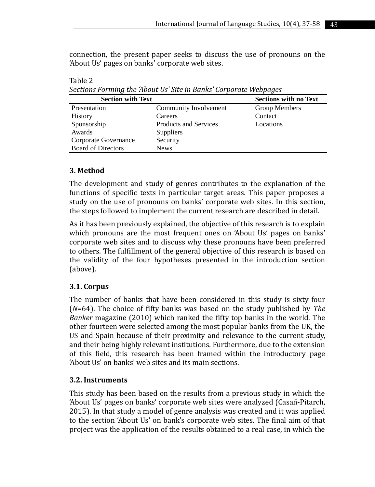connection, the present paper seeks to discuss the use of pronouns on the 'About Us' pages on banks' corporate web sites.

| becaused of ming and mount of bite in Dunny Corporate Webpuges |                              |                              |  |  |  |  |
|----------------------------------------------------------------|------------------------------|------------------------------|--|--|--|--|
| <b>Section with Text</b>                                       |                              | <b>Sections with no Text</b> |  |  |  |  |
| Presentation                                                   | Community Involvement        | Group Members                |  |  |  |  |
| History                                                        | Careers                      | Contact                      |  |  |  |  |
| Sponsorship                                                    | <b>Products and Services</b> | Locations                    |  |  |  |  |
| Awards                                                         | Suppliers                    |                              |  |  |  |  |
| Corporate Governance                                           | Security                     |                              |  |  |  |  |
| <b>Board of Directors</b>                                      | <b>News</b>                  |                              |  |  |  |  |

*Sections Forming the 'About Us' Site in Banks' Corporate Webpages*

## **3. Method**

Table 2

The development and study of genres contributes to the explanation of the functions of specific texts in particular target areas. This paper proposes a study on the use of pronouns on banks' corporate web sites. In this section, the steps followed to implement the current research are described in detail.

As it has been previously explained, the objective of this research is to explain which pronouns are the most frequent ones on 'About Us' pages on banks' corporate web sites and to discuss why these pronouns have been preferred to others. The fulfillment of the general objective of this research is based on the validity of the four hypotheses presented in the introduction section (above).

## **3.1. Corpus**

The number of banks that have been considered in this study is sixty-four (*N*=64). The choice of fifty banks was based on the study published by *The Banker* magazine (2010) which ranked the fifty top banks in the world. The other fourteen were selected among the most popular banks from the UK, the US and Spain because of their proximity and relevance to the current study, and their being highly relevant institutions. Furthermore, due to the extension of this field, this research has been framed within the introductory page 'About Us' on banks' web sites and its main sections.

## **3.2. Instruments**

This study has been based on the results from a previous study in which the 'About Us' pages on banks' corporate web sites were analyzed (Casañ-Pitarch, 2015). In that study a model of genre analysis was created and it was applied to the section 'About Us' on bank's corporate web sites. The final aim of that project was the application of the results obtained to a real case, in which the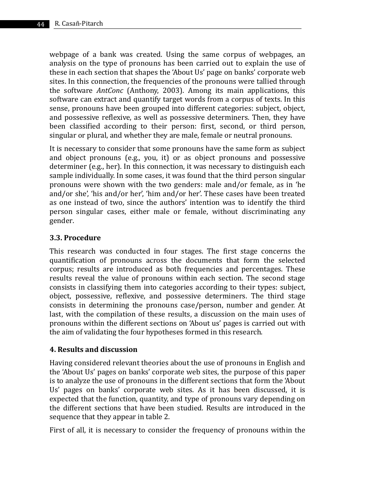webpage of a bank was created. Using the same corpus of webpages, an analysis on the type of pronouns has been carried out to explain the use of these in each section that shapes the 'About Us' page on banks' corporate web sites. In this connection, the frequencies of the pronouns were tallied through the software *AntConc* (Anthony, 2003). Among its main applications, this software can extract and quantify target words from a corpus of texts. In this sense, pronouns have been grouped into different categories: subject, object, and possessive reflexive, as well as possessive determiners. Then, they have been classified according to their person: first, second, or third person, singular or plural, and whether they are male, female or neutral pronouns.

It is necessary to consider that some pronouns have the same form as subject and object pronouns (e.g., you, it) or as object pronouns and possessive determiner (e.g., her). In this connection, it was necessary to distinguish each sample individually. In some cases, it was found that the third person singular pronouns were shown with the two genders: male and/or female, as in 'he and/or she', 'his and/or her', 'him and/or her'. These cases have been treated as one instead of two, since the authors' intention was to identify the third person singular cases, either male or female, without discriminating any gender.

## **3.3. Procedure**

This research was conducted in four stages. The first stage concerns the quantification of pronouns across the documents that form the selected corpus; results are introduced as both frequencies and percentages. These results reveal the value of pronouns within each section. The second stage consists in classifying them into categories according to their types: subject, object, possessive, reflexive, and possessive determiners. The third stage consists in determining the pronouns case/person, number and gender. At last, with the compilation of these results, a discussion on the main uses of pronouns within the different sections on 'About us' pages is carried out with the aim of validating the four hypotheses formed in this research.

### **4. Results and discussion**

Having considered relevant theories about the use of pronouns in English and the 'About Us' pages on banks' corporate web sites, the purpose of this paper is to analyze the use of pronouns in the different sections that form the 'About Us' pages on banks' corporate web sites. As it has been discussed, it is expected that the function, quantity, and type of pronouns vary depending on the different sections that have been studied. Results are introduced in the sequence that they appear in table 2.

First of all, it is necessary to consider the frequency of pronouns within the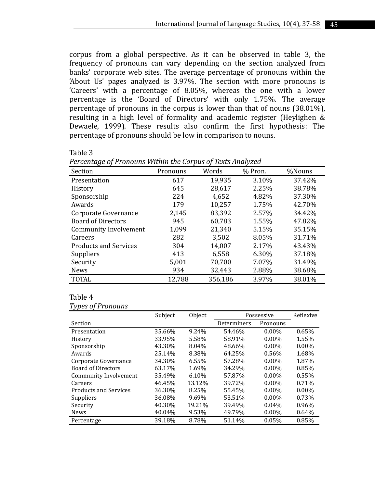corpus from a global perspective. As it can be observed in table 3, the frequency of pronouns can vary depending on the section analyzed from banks' corporate web sites. The average percentage of pronouns within the 'About Us' pages analyzed is 3.97%. The section with more pronouns is 'Careers' with a percentage of 8.05%, whereas the one with a lower percentage is the 'Board of Directors' with only 1.75%. The average percentage of pronouns in the corpus is lower than that of nouns (38.01%), resulting in a high level of formality and academic register (Heylighen & Dewaele, 1999). These results also confirm the first hypothesis: The percentage of pronouns should be low in comparison to nouns.

#### Table 3

| ັ<br>╯                       |          |         | ╯       |        |
|------------------------------|----------|---------|---------|--------|
| Section                      | Pronouns | Words   | % Pron. | %Nouns |
| Presentation                 | 617      | 19,935  | 3.10%   | 37.42% |
| History                      | 645      | 28.617  | 2.25%   | 38.78% |
| Sponsorship                  | 224      | 4,652   | 4.82%   | 37.30% |
| Awards                       | 179      | 10,257  | 1.75%   | 42.70% |
| Corporate Governance         | 2,145    | 83,392  | 2.57%   | 34.42% |
| <b>Board of Directors</b>    | 945      | 60,783  | 1.55%   | 47.82% |
| Community Involvement        | 1,099    | 21,340  | 5.15%   | 35.15% |
| Careers                      | 282      | 3,502   | 8.05%   | 31.71% |
| <b>Products and Services</b> | 304      | 14,007  | 2.17%   | 43.43% |
| Suppliers                    | 413      | 6.558   | 6.30%   | 37.18% |
| Security                     | 5,001    | 70,700  | 7.07%   | 31.49% |
| <b>News</b>                  | 934      | 32,443  | 2.88%   | 38.68% |
| <b>TOTAL</b>                 | 12,788   | 356.186 | 3.97%   | 38.01% |

### Table 4

| Types of Pronouns |
|-------------------|
|-------------------|

|                           | Subject | Object | Possessive  |          | Reflexive |
|---------------------------|---------|--------|-------------|----------|-----------|
| Section                   |         |        | Determiners | Pronouns |           |
| Presentation              | 35.66%  | 9.24%  | 54.46%      | $0.00\%$ | 0.65%     |
| History                   | 33.95%  | 5.58%  | 58.91%      | $0.00\%$ | 1.55%     |
| Sponsorship               | 43.30%  | 8.04%  | 48.66%      | $0.00\%$ | $0.00\%$  |
| Awards                    | 25.14%  | 8.38%  | 64.25%      | 0.56%    | 1.68%     |
| Corporate Governance      | 34.30%  | 6.55%  | 57.28%      | $0.00\%$ | 1.87%     |
| <b>Board of Directors</b> | 63.17%  | 1.69%  | 34.29%      | $0.00\%$ | 0.85%     |
| Community Involvement     | 35.49%  | 6.10%  | 57.87%      | $0.00\%$ | 0.55%     |
| Careers                   | 46.45%  | 13.12% | 39.72%      | $0.00\%$ | 0.71%     |
| Products and Services     | 36.30%  | 8.25%  | 55.45%      | $0.00\%$ | $0.00\%$  |
| Suppliers                 | 36.08%  | 9.69%  | 53.51%      | $0.00\%$ | 0.73%     |
| Security                  | 40.30%  | 19.21% | 39.49%      | 0.04%    | 0.96%     |
| <b>News</b>               | 40.04%  | 9.53%  | 49.79%      | $0.00\%$ | 0.64%     |
| Percentage                | 39.18%  | 8.78%  | 51.14%      | 0.05%    | 0.85%     |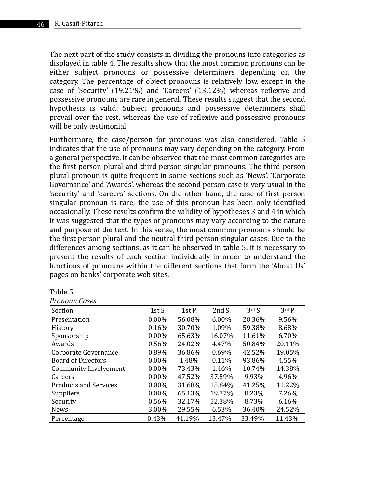The next part of the study consists in dividing the pronouns into categories as displayed in table 4. The results show that the most common pronouns can be either subject pronouns or possessive determiners depending on the category. The percentage of object pronouns is relatively low, except in the case of 'Security' (19.21%) and 'Careers' (13.12%) whereas reflexive and possessive pronouns are rare in general. These results suggest that the second hypothesis is valid: Subject pronouns and possessive determiners shall prevail over the rest, whereas the use of reflexive and possessive pronouns will be only testimonial.

Furthermore, the case/person for pronouns was also considered. Table 5 indicates that the use of pronouns may vary depending on the category. From a general perspective, it can be observed that the most common categories are the first person plural and third person singular pronouns. The third person plural pronoun is quite frequent in some sections such as 'News', 'Corporate Governance' and 'Awards', whereas the second person case is very usual in the 'security' and 'careers' sections. On the other hand, the case of first person singular pronoun is rare; the use of this pronoun has been only identified occasionally. These results confirm the validity of hypotheses 3 and 4 in which it was suggested that the types of pronouns may vary according to the nature and purpose of the text. In this sense, the most common pronouns should be the first person plural and the neutral third person singular cases. Due to the differences among sections, as it can be observed in table 5, it is necessary to present the results of each section individually in order to understand the functions of pronouns within the different sections that form the 'About Us' pages on banks' corporate web sites.

| anie |  |
|------|--|
|------|--|

| Section                      | 1st S.   | 1st P. | $2ndS$ . | 3 <sup>rd</sup> S. | $3rd$ P. |
|------------------------------|----------|--------|----------|--------------------|----------|
| Presentation                 | $0.00\%$ | 56.08% | $6.00\%$ | 28.36%             | 9.56%    |
| History                      | 0.16%    | 30.70% | 1.09%    | 59.38%             | 8.68%    |
| Sponsorship                  | $0.00\%$ | 65.63% | 16.07%   | 11.61%             | 6.70%    |
| Awards                       | 0.56%    | 24.02% | 4.47%    | 50.84%             | 20.11%   |
| Corporate Governance         | 0.89%    | 36.86% | 0.69%    | 42.52%             | 19.05%   |
| <b>Board of Directors</b>    | $0.00\%$ | 1.48%  | $0.11\%$ | 93.86%             | 4.55%    |
| Community Involvement        | $0.00\%$ | 73.43% | 1.46%    | 10.74%             | 14.38%   |
| Careers                      | $0.00\%$ | 47.52% | 37.59%   | 9.93%              | 4.96%    |
| <b>Products and Services</b> | $0.00\%$ | 31.68% | 15.84%   | 41.25%             | 11.22%   |
| Suppliers                    | $0.00\%$ | 65.13% | 19.37%   | 8.23%              | 7.26%    |
| Security                     | 0.56%    | 32.17% | 52.38%   | 8.73%              | 6.16%    |
| <b>News</b>                  | 3.00%    | 29.55% | 6.53%    | 36.40%             | 24.52%   |
| Percentage                   | 0.43%    | 41.19% | 13.47%   | 33.49%             | 11.43%   |

*Pronoun Cases*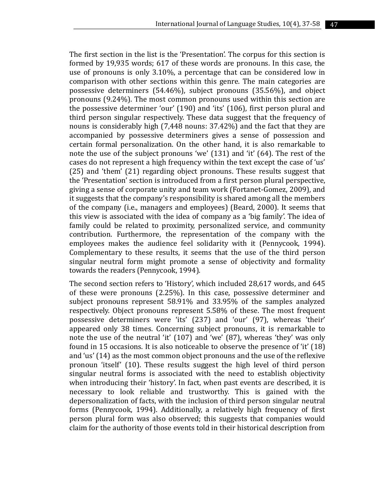The first section in the list is the 'Presentation'. The corpus for this section is formed by 19,935 words; 617 of these words are pronouns. In this case, the use of pronouns is only 3.10%, a percentage that can be considered low in comparison with other sections within this genre. The main categories are possessive determiners (54.46%), subject pronouns (35.56%), and object pronouns (9.24%). The most common pronouns used within this section are the possessive determiner 'our' (190) and 'its' (106), first person plural and third person singular respectively. These data suggest that the frequency of nouns is considerably high (7,448 nouns: 37.42%) and the fact that they are accompanied by possessive determiners gives a sense of possession and certain formal personalization. On the other hand, it is also remarkable to note the use of the subject pronouns 'we' (131) and 'it' (64). The rest of the cases do not represent a high frequency within the text except the case of 'us' (25) and 'them' (21) regarding object pronouns. These results suggest that the 'Presentation' section is introduced from a first person plural perspective, giving a sense of corporate unity and team work (Fortanet-Gomez, 2009), and it suggests that the company's responsibility is shared among all the members of the company (i.e., managers and employees) (Beard, 2000). It seems that this view is associated with the idea of company as a 'big family'. The idea of family could be related to proximity, personalized service, and community contribution. Furthermore, the representation of the company with the employees makes the audience feel solidarity with it (Pennycook, 1994). Complementary to these results, it seems that the use of the third person singular neutral form might promote a sense of objectivity and formality towards the readers (Pennycook, 1994).

The second section refers to 'History', which included 28,617 words, and 645 of these were pronouns (2.25%). In this case, possessive determiner and subject pronouns represent 58.91% and 33.95% of the samples analyzed respectively. Object pronouns represent 5.58% of these. The most frequent possessive determiners were 'its' (237) and 'our' (97), whereas 'their' appeared only 38 times. Concerning subject pronouns, it is remarkable to note the use of the neutral 'it' (107) and 'we' (87), whereas 'they' was only found in 15 occasions. It is also noticeable to observe the presence of 'it' (18) and 'us' (14) as the most common object pronouns and the use of the reflexive pronoun 'itself' (10). These results suggest the high level of third person singular neutral forms is associated with the need to establish objectivity when introducing their 'history'. In fact, when past events are described, it is necessary to look reliable and trustworthy. This is gained with the depersonalization of facts, with the inclusion of third person singular neutral forms (Pennycook, 1994). Additionally, a relatively high frequency of first person plural form was also observed; this suggests that companies would claim for the authority of those events told in their historical description from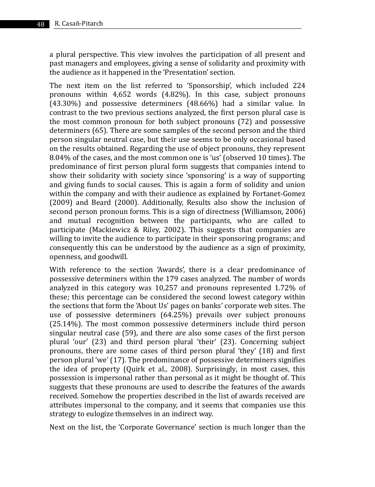a plural perspective. This view involves the participation of all present and past managers and employees, giving a sense of solidarity and proximity with the audience as it happened in the 'Presentation' section.

The next item on the list referred to 'Sponsorship', which included 224 pronouns within 4,652 words (4.82%). In this case, subject pronouns (43.30%) and possessive determiners (48.66%) had a similar value. In contrast to the two previous sections analyzed, the first person plural case is the most common pronoun for both subject pronouns (72) and possessive determiners (65). There are some samples of the second person and the third person singular neutral case, but their use seems to be only occasional based on the results obtained. Regarding the use of object pronouns, they represent 8.04% of the cases, and the most common one is 'us' (observed 10 times). The predominance of first person plural form suggests that companies intend to show their solidarity with society since 'sponsoring' is a way of supporting and giving funds to social causes. This is again a form of solidity and union within the company and with their audience as explained by Fortanet-Gomez (2009) and Beard (2000). Additionally, Results also show the inclusion of second person pronoun forms. This is a sign of directness (Williamson, 2006) and mutual recognition between the participants, who are called to participate (Mackiewicz & Riley, 2002). This suggests that companies are willing to invite the audience to participate in their sponsoring programs; and consequently this can be understood by the audience as a sign of proximity, openness, and goodwill.

With reference to the section 'Awards', there is a clear predominance of possessive determiners within the 179 cases analyzed. The number of words analyzed in this category was 10,257 and pronouns represented 1.72% of these; this percentage can be considered the second lowest category within the sections that form the 'About Us' pages on banks' corporate web sites. The use of possessive determiners (64.25%) prevails over subject pronouns (25.14%). The most common possessive determiners include third person singular neutral case (59), and there are also some cases of the first person plural 'our' (23) and third person plural 'their' (23). Concerning subject pronouns, there are some cases of third person plural 'they' (18) and first person plural 'we' (17). The predominance of possessive determiners signifies the idea of property (Quirk et al., 2008). Surprisingly, in most cases, this possession is impersonal rather than personal as it might be thought of. This suggests that these pronouns are used to describe the features of the awards received. Somehow the properties described in the list of awards received are attributes impersonal to the company, and it seems that companies use this strategy to eulogize themselves in an indirect way.

Next on the list, the 'Corporate Governance' section is much longer than the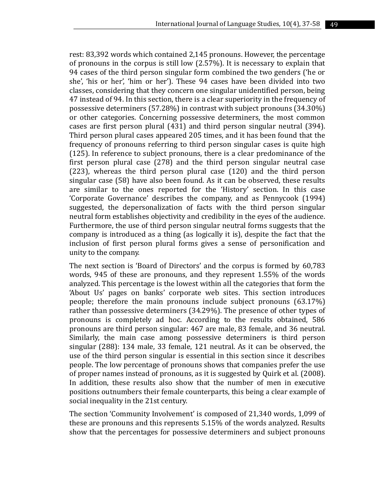rest: 83,392 words which contained 2,145 pronouns. However, the percentage of pronouns in the corpus is still low (2.57%). It is necessary to explain that 94 cases of the third person singular form combined the two genders ('he or she', 'his or her', 'him or her'). These 94 cases have been divided into two classes, considering that they concern one singular unidentified person, being 47 instead of 94. In this section, there is a clear superiority in the frequency of possessive determiners (57.28%) in contrast with subject pronouns (34.30%) or other categories. Concerning possessive determiners, the most common cases are first person plural (431) and third person singular neutral (394). Third person plural cases appeared 205 times, and it has been found that the frequency of pronouns referring to third person singular cases is quite high (125). In reference to subject pronouns, there is a clear predominance of the first person plural case (278) and the third person singular neutral case (223), whereas the third person plural case (120) and the third person singular case (58) have also been found. As it can be observed, these results are similar to the ones reported for the 'History' section. In this case 'Corporate Governance' describes the company, and as Pennycook (1994) suggested, the depersonalization of facts with the third person singular neutral form establishes objectivity and credibility in the eyes of the audience. Furthermore, the use of third person singular neutral forms suggests that the company is introduced as a thing (as logically it is), despite the fact that the inclusion of first person plural forms gives a sense of personification and unity to the company.

The next section is 'Board of Directors' and the corpus is formed by 60,783 words, 945 of these are pronouns, and they represent 1.55% of the words analyzed. This percentage is the lowest within all the categories that form the 'About Us' pages on banks' corporate web sites. This section introduces people; therefore the main pronouns include subject pronouns (63.17%) rather than possessive determiners (34.29%). The presence of other types of pronouns is completely ad hoc. According to the results obtained, 586 pronouns are third person singular: 467 are male, 83 female, and 36 neutral. Similarly, the main case among possessive determiners is third person singular (288): 134 male, 33 female, 121 neutral. As it can be observed, the use of the third person singular is essential in this section since it describes people. The low percentage of pronouns shows that companies prefer the use of proper names instead of pronouns, as it is suggested by Quirk et al. (2008). In addition, these results also show that the number of men in executive positions outnumbers their female counterparts, this being a clear example of social inequality in the 21st century.

The section 'Community Involvement' is composed of 21,340 words, 1,099 of these are pronouns and this represents 5.15% of the words analyzed. Results show that the percentages for possessive determiners and subject pronouns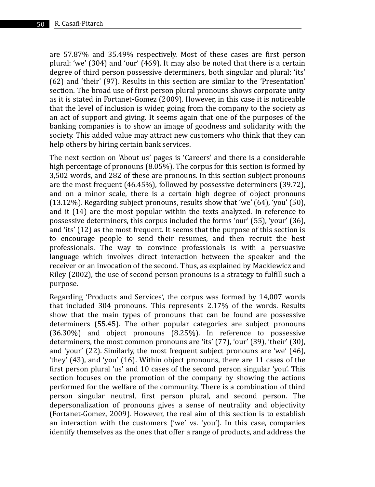are 57.87% and 35.49% respectively. Most of these cases are first person plural: 'we' (304) and 'our' (469). It may also be noted that there is a certain degree of third person possessive determiners, both singular and plural: 'its' (62) and 'their' (97). Results in this section are similar to the 'Presentation' section. The broad use of first person plural pronouns shows corporate unity as it is stated in Fortanet-Gomez (2009). However, in this case it is noticeable that the level of inclusion is wider, going from the company to the society as an act of support and giving. It seems again that one of the purposes of the banking companies is to show an image of goodness and solidarity with the society. This added value may attract new customers who think that they can help others by hiring certain bank services.

The next section on 'About us' pages is 'Careers' and there is a considerable high percentage of pronouns (8.05%). The corpus for this section is formed by 3,502 words, and 282 of these are pronouns. In this section subject pronouns are the most frequent (46.45%), followed by possessive determiners (39.72), and on a minor scale, there is a certain high degree of object pronouns (13.12%). Regarding subject pronouns, results show that 'we' (64), 'you' (50), and it (14) are the most popular within the texts analyzed. In reference to possessive determiners, this corpus included the forms 'our' (55), 'your' (36), and 'its' (12) as the most frequent. It seems that the purpose of this section is to encourage people to send their resumes, and then recruit the best professionals. The way to convince professionals is with a persuasive language which involves direct interaction between the speaker and the receiver or an invocation of the second. Thus, as explained by Mackiewicz and Riley (2002), the use of second person pronouns is a strategy to fulfill such a purpose.

Regarding 'Products and Services', the corpus was formed by 14,007 words that included 304 pronouns. This represents 2.17% of the words. Results show that the main types of pronouns that can be found are possessive determiners (55.45). The other popular categories are subject pronouns (36.30%) and object pronouns (8.25%). In reference to possessive determiners, the most common pronouns are 'its' (77), 'our' (39), 'their' (30), and 'your' (22). Similarly, the most frequent subject pronouns are 'we' (46), 'they' (43), and 'you' (16). Within object pronouns, there are 11 cases of the first person plural 'us' and 10 cases of the second person singular 'you'. This section focuses on the promotion of the company by showing the actions performed for the welfare of the community. There is a combination of third person singular neutral, first person plural, and second person. The depersonalization of pronouns gives a sense of neutrality and objectivity (Fortanet-Gomez, 2009). However, the real aim of this section is to establish an interaction with the customers ('we' vs. 'you'). In this case, companies identify themselves as the ones that offer a range of products, and address the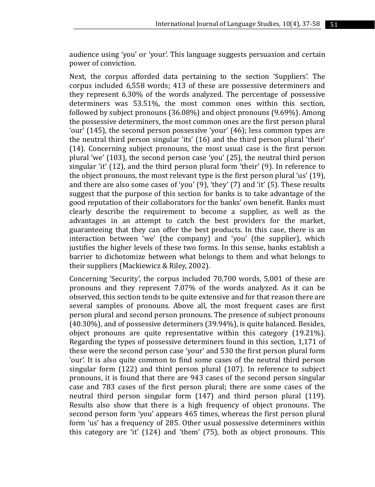audience using 'you' or 'your'. This language suggests persuasion and certain power of conviction.

Next, the corpus afforded data pertaining to the section 'Suppliers'. The corpus included 6,558 words; 413 of these are possessive determiners and they represent 6.30% of the words analyzed. The percentage of possessive determiners was 53.51%, the most common ones within this section, followed by subject pronouns (36.08%) and object pronouns (9.69%). Among the possessive determiners, the most common ones are the first person plural 'our' (145), the second person possessive 'your' (46); less common types are the neutral third person singular 'its' (16) and the third person plural 'their' (14). Concerning subject pronouns, the most usual case is the first person plural 'we' (103), the second person case 'you' (25), the neutral third person singular 'it' (12), and the third person plural form 'their' (9). In reference to the object pronouns, the most relevant type is the first person plural 'us' (19), and there are also some cases of 'you' (9), 'they' (7) and 'it' (5). These results suggest that the purpose of this section for banks is to take advantage of the good reputation of their collaborators for the banks' own benefit. Banks must clearly describe the requirement to become a supplier, as well as the advantages in an attempt to catch the best providers for the market, guaranteeing that they can offer the best products. In this case, there is an interaction between 'we' (the company) and 'you' (the supplier), which justifies the higher levels of these two forms. In this sense, banks establish a barrier to dichotomize between what belongs to them and what belongs to their suppliers (Mackiewicz & Riley, 2002).

Concerning 'Security', the corpus included 70,700 words, 5,001 of these are pronouns and they represent 7.07% of the words analyzed. As it can be observed, this section tends to be quite extensive and for that reason there are several samples of pronouns. Above all, the most frequent cases are first person plural and second person pronouns. The presence of subject pronouns (40.30%), and of possessive determiners (39.94%), is quite balanced. Besides, object pronouns are quite representative within this category (19.21%). Regarding the types of possessive determiners found in this section, 1,171 of these were the second person case 'your' and 530 the first person plural form 'our'. It is also quite common to find some cases of the neutral third person singular form (122) and third person plural (107). In reference to subject pronouns, it is found that there are 943 cases of the second person singular case and 783 cases of the first person plural; there are some cases of the neutral third person singular form (147) and third person plural (119). Results also show that there is a high frequency of object pronouns. The second person form 'you' appears 465 times, whereas the first person plural form 'us' has a frequency of 285. Other usual possessive determiners within this category are 'it' (124) and 'them' (75), both as object pronouns. This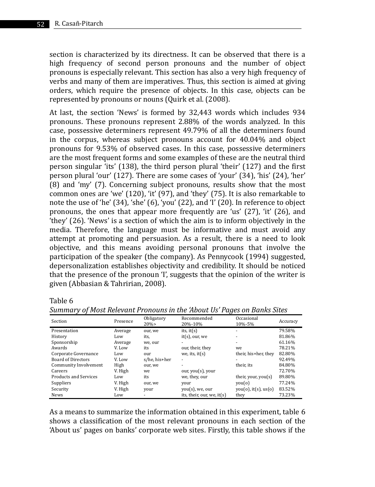section is characterized by its directness. It can be observed that there is a high frequency of second person pronouns and the number of object pronouns is especially relevant. This section has also a very high frequency of verbs and many of them are imperatives. Thus, this section is aimed at giving orders, which require the presence of objects. In this case, objects can be represented by pronouns or nouns (Quirk et al. (2008).

At last, the section 'News' is formed by 32,443 words which includes 934 pronouns. These pronouns represent 2.88% of the words analyzed. In this case, possessive determiners represent 49.79% of all the determiners found in the corpus, whereas subject pronouns account for 40.04% and object pronouns for 9.53% of observed cases. In this case, possessive determiners are the most frequent forms and some examples of these are the neutral third person singular 'its' (138), the third person plural 'their' (127) and the first person plural 'our' (127). There are some cases of 'your' (34), 'his' (24), 'her' (8) and 'my' (7). Concerning subject pronouns, results show that the most common ones are 'we' (120), 'it' (97), and 'they' (75). It is also remarkable to note the use of 'he' (34), 'she' (6), 'you' (22), and 'I' (20). In reference to object pronouns, the ones that appear more frequently are 'us' (27), 'it' (26), and 'they' (26). 'News' is a section of which the aim is to inform objectively in the media. Therefore, the language must be informative and must avoid any attempt at promoting and persuasion. As a result, there is a need to look objective, and this means avoiding personal pronouns that involve the participation of the speaker (the company). As Pennycook (1994) suggested, depersonalization establishes objectivity and credibility. It should be noticed that the presence of the pronoun 'I', suggests that the opinion of the writer is given (Abbasian & Tahririan, 2008).

#### Table 6

| Section                      | Presence | Obligatory<br>20% | Recommended<br>20%-10%     | Occasional<br>10%-5% | Accuracy |
|------------------------------|----------|-------------------|----------------------------|----------------------|----------|
| Presentation                 | Average  | our, we           | its, $it(s)$               | ۰                    | 79.58%   |
| History                      | Low      | its,              | $it(s)$ , our, we          | ۰.                   | 81.86%   |
| Sponsorship                  | Average  | we, our           | ۰.                         | ۰.                   | 61.16%   |
| Awards                       | V. Low   | its               | our, their, they           | we                   | 78.21%   |
| Corporate Governance         | Low      | our               | we, its, $it(s)$           | their, his+her, they | 82.80%   |
| <b>Board of Directors</b>    | V. Low   | s/he, his+her     | ۰                          | ۰                    | 92.49%   |
| Community Involvement        | High     | our, we           | ۰                          | their its            | 84.80%   |
| Careers                      | V. High  | we                | our, you(s), your          |                      | 72.70%   |
| <b>Products and Services</b> | Low      | its               | we, they, our              | their, your, you(s)  | 89.80%   |
| Suppliers                    | V. High  | our, we           | your                       | you(0)               | 77.24%   |
| Security                     | V. High  | your              | you(s), we, our            | you(0), it(s), us(0) | 83.52%   |
| News                         | Low      | ۰                 | its, their, our, we, it(s) | they                 | 73.23%   |

*Summary of Most Relevant Pronouns in the 'About Us' Pages on Banks Sites*

As a means to summarize the information obtained in this experiment, table 6 shows a classification of the most relevant pronouns in each section of the 'About us' pages on banks' corporate web sites. Firstly, this table shows if the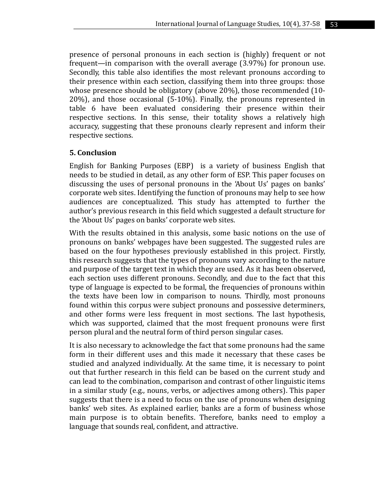presence of personal pronouns in each section is (highly) frequent or not frequent—in comparison with the overall average (3.97%) for pronoun use. Secondly, this table also identifies the most relevant pronouns according to their presence within each section, classifying them into three groups: those whose presence should be obligatory (above 20%), those recommended (10- 20%), and those occasional (5-10%). Finally, the pronouns represented in table 6 have been evaluated considering their presence within their respective sections. In this sense, their totality shows a relatively high accuracy, suggesting that these pronouns clearly represent and inform their respective sections.

### **5. Conclusion**

English for Banking Purposes (EBP) is a variety of business English that needs to be studied in detail, as any other form of ESP. This paper focuses on discussing the uses of personal pronouns in the 'About Us' pages on banks' corporate web sites. Identifying the function of pronouns may help to see how audiences are conceptualized. This study has attempted to further the author's previous research in this field which suggested a default structure for the 'About Us' pages on banks' corporate web sites.

With the results obtained in this analysis, some basic notions on the use of pronouns on banks' webpages have been suggested. The suggested rules are based on the four hypotheses previously established in this project. Firstly, this research suggests that the types of pronouns vary according to the nature and purpose of the target text in which they are used. As it has been observed, each section uses different pronouns. Secondly, and due to the fact that this type of language is expected to be formal, the frequencies of pronouns within the texts have been low in comparison to nouns. Thirdly, most pronouns found within this corpus were subject pronouns and possessive determiners, and other forms were less frequent in most sections. The last hypothesis, which was supported, claimed that the most frequent pronouns were first person plural and the neutral form of third person singular cases.

It is also necessary to acknowledge the fact that some pronouns had the same form in their different uses and this made it necessary that these cases be studied and analyzed individually. At the same time, it is necessary to point out that further research in this field can be based on the current study and can lead to the combination, comparison and contrast of other linguistic items in a similar study (e.g., nouns, verbs, or adjectives among others). This paper suggests that there is a need to focus on the use of pronouns when designing banks' web sites. As explained earlier, banks are a form of business whose main purpose is to obtain benefits. Therefore, banks need to employ a language that sounds real, confident, and attractive.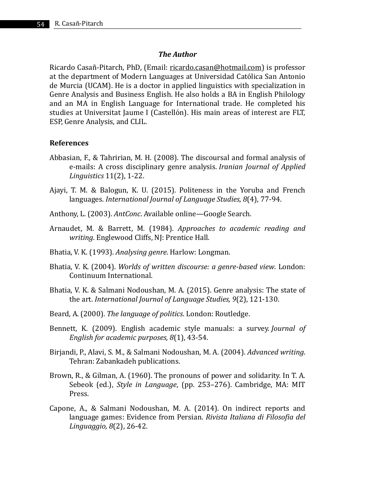### *The Author*

Ricardo Casañ-Pitarch, PhD, (Email: ricardo.casan@hotmail.com) is professor at the department of Modern Languages at Universidad Católica San Antonio de Murcia (UCAM). He is a doctor in applied linguistics with specialization in Genre Analysis and Business English. He also holds a BA in English Philology and an MA in English Language for International trade. He completed his studies at Universitat Jaume I (Castellón). His main areas of interest are FLT, ESP, Genre Analysis, and CLIL.

#### **References**

- Abbasian, F., & Tahririan, M. H. (2008). The discoursal and formal analysis of e-mails: A cross disciplinary genre analysis. *Iranian Journal of Applied Linguistics* 11(2), 1-22.
- Ajayi, T. M. & Balogun, K. U. (2015). Politeness in the Yoruba and French languages. *International Journal of Language Studies, 8*(4), 77-94.
- Anthony, L. (2003). *AntConc*. Available online—Google Search.
- Arnaudet, M. & Barrett, M. (1984). *Approaches to academic reading and writing*. Englewood Cliffs, NJ: Prentice Hall.
- Bhatia, V. K. (1993). *Analysing genre*. Harlow: Longman.
- Bhatia, V. K. (2004). *Worlds of written discourse: a genre-based view*. London: Continuum International.
- Bhatia, V. K. & Salmani Nodoushan, M. A. (2015). Genre analysis: The state of the art. *International Journal of Language Studies, 9*(2), 121-130.
- Beard, A. (2000). *The language of politics*. London: Routledge.
- Bennett, K. (2009). English academic style manuals: a survey. *Journal of English for academic purposes, 8*(1), 43-54.
- Birjandi, P., Alavi, S. M., & Salmani Nodoushan, M. A. (2004). *Advanced writing*. Tehran: Zabankadeh publications.
- Brown, R., & Gilman, A. (1960). The pronouns of power and solidarity. In T. A. Sebeok (ed.), *Style in Language*, (pp. 253–276). Cambridge, MA: MIT Press.
- Capone, A., & Salmani Nodoushan, M. A. (2014). On indirect reports and language games: Evidence from Persian. *Rivista Italiana di Filosofia del Linguaggio, 8*(2), 26-42.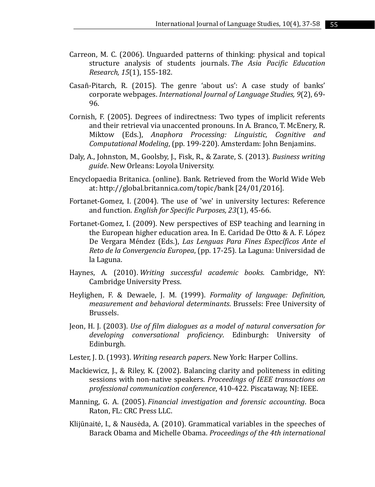- Carreon, M. C. (2006). Unguarded patterns of thinking: physical and topical structure analysis of students journals. *The Asia Pacific Education Research, 15*(1), 155-182.
- Casañ-Pitarch, R. (2015). The genre 'about us': A case study of banks' corporate webpages. *International Journal of Language Studies, 9*(2), 69- 96.
- Cornish, F. (2005). Degrees of indirectness: Two types of implicit referents and their retrieval via unaccented pronouns. In A. Branco, T. McEnery, R. Miktow (Eds.), *Anaphora Processing: Linguistic, Cognitive and Computational Modeling*, (pp. 199-220). Amsterdam: John Benjamins.
- Daly, A., Johnston, M., Goolsby, J., Fisk, R., & Zarate, S. (2013). *Business writing guide*. New Orleans: Loyola University.
- Encyclopaedia Britanica. (online). Bank. Retrieved from the World Wide Web at: http://global.britannica.com/topic/bank [24/01/2016].
- Fortanet-Gomez, I. (2004). The use of 'we' in university lectures: Reference and function. *English for Specific Purposes, 23*(1), 45-66.
- Fortanet-Gomez, I. (2009). New perspectives of ESP teaching and learning in the European higher education area. In E. Caridad De Otto & A. F. López De Vergara Méndez (Eds.), *Las Lenguas Para Fines Específicos Ante el Reto de la Convergencia Europea*, (pp. 17-25). La Laguna: Universidad de la Laguna.
- Haynes, A. (2010). *Writing successful academic books*. Cambridge, NY: Cambridge University Press.
- Heylighen, F. & Dewaele, J. M. (1999). *Formality of language: Definition, measurement and behavioral determinants*. Brussels: Free University of Brussels.
- Jeon, H. J. (2003). *Use of film dialogues as a model of natural conversation for developing conversational proficiency*. Edinburgh: University of Edinburgh.
- Lester, J. D. (1993). *Writing research papers*. New York: Harper Collins.
- Mackiewicz, J., & Riley, K. (2002). Balancing clarity and politeness in editing sessions with non-native speakers. *Proceedings of IEEE transactions on professional communication conference*, 410-422. Piscataway, NJ: IEEE.
- Manning, G. A. (2005). *Financial investigation and forensic accounting*. Boca Raton, FL: CRC Press LLC.
- Klijūnaitė, I., & Nausėda, A. (2010). Grammatical variables in the speeches of Barack Obama and Michelle Obama. *Proceedings of the 4th international*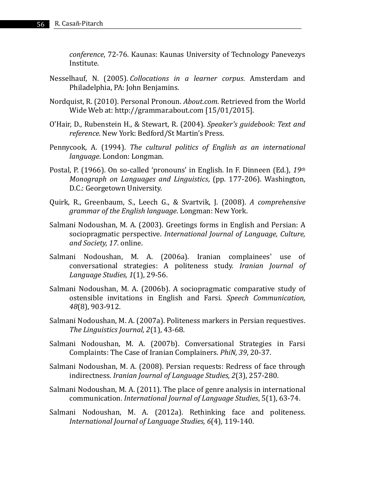*conference*, 72-76. Kaunas: Kaunas University of Technology Panevezys Institute.

- Nesselhauf, N. (2005). *Collocations in a learner corpus*. Amsterdam and Philadelphia, PA: John Benjamins.
- Nordquist, R. (2010). Personal Pronoun. *About.com*. Retrieved from the World Wide Web at: http://grammar.about.com [15/01/2015].
- O'Hair, D., Rubenstein H., & Stewart, R. (2004). *Speaker's guidebook: Text and reference*. New York: Bedford/St Martin's Press.
- Pennycook, A. (1994). *The cultural politics of English as an international language*. London: Longman.
- Postal, P. (1966). On so-called 'pronouns' in English. In F. Dinneen (Ed.), *19th Monograph on Languages and Linguistics*, (pp. 177-206). Washington, D.C.: Georgetown University.
- Quirk, R., Greenbaum, S., Leech G., & Svartvik, J. (2008). *A comprehensive grammar of the English language*. Longman: New York.
- Salmani Nodoushan, M. A. (2003). Greetings forms in English and Persian: A sociopragmatic perspective. *International Journal of Language, Culture, and Society, 17*. online.
- Salmani Nodoushan, M. A. (2006a). Iranian complainees' use of conversational strategies: A politeness study. *Iranian Journal of Language Studies, 1*(1), 29-56.
- Salmani Nodoushan, M. A. (2006b). A sociopragmatic comparative study of ostensible invitations in English and Farsi. *Speech Communication, 48*(8), 903-912.
- Salmani Nodoushan, M. A. (2007a). Politeness markers in Persian requestives. *The Linguistics Journal, 2*(1), 43-68.
- Salmani Nodoushan, M. A. (2007b). Conversational Strategies in Farsi Complaints: The Case of Iranian Complainers. *PhiN, 39*, 20-37.
- Salmani Nodoushan, M. A. (2008). Persian requests: Redress of face through indirectness. *Iranian Journal of Language Studies, 2*(3), 257-280.
- Salmani Nodoushan, M. A. (2011). The place of genre analysis in international communication. *International Journal of Language Studies*, 5(1), 63-74.
- Salmani Nodoushan, M. A. (2012a). Rethinking face and politeness. *International Journal of Language Studies, 6*(4), 119-140.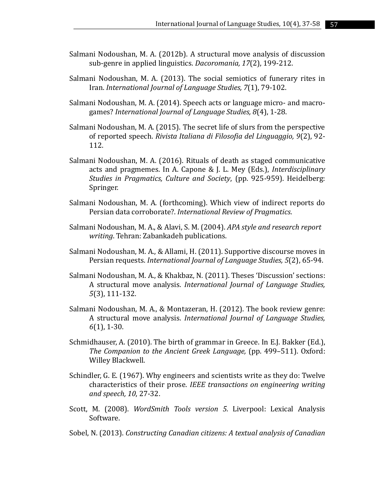- Salmani Nodoushan, M. A. (2012b). A structural move analysis of discussion sub-genre in applied linguistics. *Dacoromania, 17*(2), 199-212.
- Salmani Nodoushan, M. A. (2013). The social semiotics of funerary rites in Iran. *International Journal of Language Studies, 7*(1), 79-102.
- Salmani Nodoushan, M. A. (2014). Speech acts or language micro- and macrogames? *International Journal of Language Studies, 8*(4), 1-28.
- Salmani Nodoushan, M. A. (2015). The secret life of slurs from the perspective of reported speech. *Rivista Italiana di Filosofia del Linguaggio, 9*(2), 92- 112.
- Salmani Nodoushan, M. A. (2016). Rituals of death as staged communicative acts and pragmemes. In A. Capone & J. L. Mey (Eds.), *Interdisciplinary Studies in Pragmatics, Culture and Society*, (pp. 925-959). Heidelberg: Springer.
- Salmani Nodoushan, M. A. (forthcoming). Which view of indirect reports do Persian data corroborate?. *International Review of Pragmatics*.
- Salmani Nodoushan, M. A., & Alavi, S. M. (2004). *APA style and research report writing*. Tehran: Zabankadeh publications.
- Salmani Nodoushan, M. A., & Allami, H. (2011). Supportive discourse moves in Persian requests. *International Journal of Language Studies, 5*(2), 65-94.
- Salmani Nodoushan, M. A., & Khakbaz, N. (2011). Theses 'Discussion' sections: A structural move analysis. *International Journal of Language Studies, 5*(3), 111-132.
- Salmani Nodoushan, M. A., & Montazeran, H. (2012). The book review genre: A structural move analysis. *International Journal of Language Studies, 6*(1), 1-30.
- Schmidhauser, A. (2010). The birth of grammar in Greece. In E.J. Bakker (Ed.), *The Companion to the Ancient Greek Language,* (pp. 499–511). Oxford: Willey Blackwell.
- Schindler, G. E. (1967). Why engineers and scientists write as they do: Twelve characteristics of their prose. *IEEE transactions on engineering writing and speech, 10*, 27-32.
- Scott, M. (2008). *WordSmith Tools version 5.* Liverpool: Lexical Analysis Software.
- Sobel, N. (2013). *Constructing Canadian citizens: A textual analysis of Canadian*